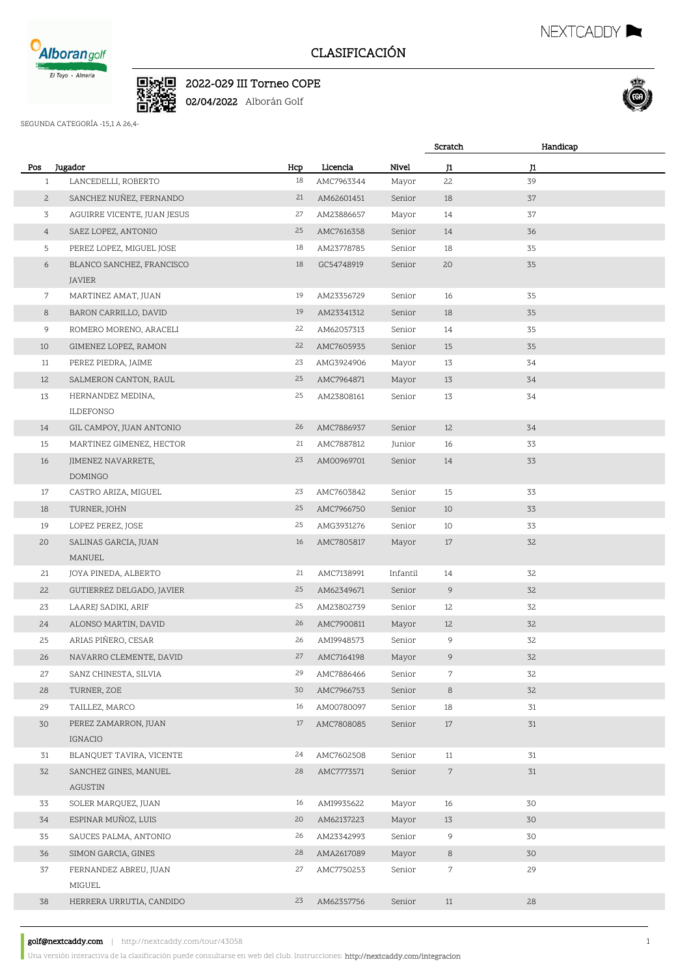

## CLASIFICACIÓN

NEXTCADDY **NEXTCADDY** 



SEGUNDA CATEGORÍA -15,1 A 26,4-

■<br>■数<br>■数

|                |                                     |     |            |          | Scratch                     | Handicap |  |
|----------------|-------------------------------------|-----|------------|----------|-----------------------------|----------|--|
| Pos            | Jugador                             | Hcp | Licencia   | Nivel    | J1                          | J1       |  |
| $\mathbf{1}$   | LANCEDELLI, ROBERTO                 | 18  | AMC7963344 | Mayor    | 22                          | 39       |  |
| $\mathbf{2}$   | SANCHEZ NUÑEZ, FERNANDO             | 21  | AM62601451 | Senior   | 18                          | 37       |  |
| 3              | AGUIRRE VICENTE, JUAN JESUS         | 27  | AM23886657 | Mayor    | 14                          | 37       |  |
| $\overline{4}$ | SAEZ LOPEZ, ANTONIO                 | 25  | AMC7616358 | Senior   | 14                          | 36       |  |
| 5              | PEREZ LOPEZ, MIGUEL JOSE            | 18  | AM23778785 | Senior   | 18                          | 35       |  |
| 6              | BLANCO SANCHEZ, FRANCISCO<br>JAVIER | 18  | GC54748919 | Senior   | 20                          | 35       |  |
| 7              | MARTINEZ AMAT, JUAN                 | 19  | AM23356729 | Senior   | 16                          | 35       |  |
| 8              | BARON CARRILLO, DAVID               | 19  | AM23341312 | Senior   | 18                          | 35       |  |
| 9              | ROMERO MORENO, ARACELI              | 22  | AM62057313 | Senior   | 14                          | 35       |  |
| 10             | GIMENEZ LOPEZ, RAMON                | 22  | AMC7605935 | Senior   | 15                          | 35       |  |
| 11             | PEREZ PIEDRA, JAIME                 | 23  | AMG3924906 | Mayor    | 13                          | 34       |  |
| 12             | SALMERON CANTON, RAUL               | 25  | AMC7964871 | Mayor    | 13                          | 34       |  |
| 13             | HERNANDEZ MEDINA,                   | 25  | AM23808161 | Senior   | 13                          | 34       |  |
|                | <b>ILDEFONSO</b>                    |     |            |          |                             |          |  |
| 14             | GIL CAMPOY, JUAN ANTONIO            | 26  | AMC7886937 | Senior   | 12                          | 34       |  |
| 15             | MARTINEZ GIMENEZ, HECTOR            | 21  | AMC7887812 | Junior   | 16                          | 33       |  |
| 16             | JIMENEZ NAVARRETE,<br>DOMINGO       | 23  | AM00969701 | Senior   | 14                          | 33       |  |
| 17             | CASTRO ARIZA, MIGUEL                | 23  | AMC7603842 | Senior   | 15                          | 33       |  |
| 18             | TURNER, JOHN                        | 25  | AMC7966750 | Senior   | 10                          | 33       |  |
| 19             | LOPEZ PEREZ, JOSE                   | 25  | AMG3931276 | Senior   | 10                          | 33       |  |
| 20             | SALINAS GARCIA, JUAN                | 16  | AMC7805817 | Mayor    | 17                          | 32       |  |
|                | MANUEL                              |     |            |          |                             |          |  |
| 21             | JOYA PINEDA, ALBERTO                | 21  | AMC7138991 | Infantil | 14                          | 32       |  |
| 22             | GUTIERREZ DELGADO, JAVIER           | 25  | AM62349671 | Senior   | 9                           | 32       |  |
| 23             | LAAREJ SADIKI, ARIF                 | 25  | AM23802739 | Senior   | 12                          | 32       |  |
| 24             | ALONSO MARTIN, DAVID                | 26  | AMC7900811 | Mayor    | 12                          | 32       |  |
| 25             | ARIAS PIÑERO, CESAR                 | 26  | AMI9948573 | Senior   | 9                           | 32       |  |
| 26             | NAVARRO CLEMENTE, DAVID             | 27  | AMC7164198 | Mayor    | 9                           | 32       |  |
| 27             | SANZ CHINESTA, SILVIA               | 29  | AMC7886466 | Senior   | $\mathcal{L}_{\mathcal{L}}$ | 32       |  |
| 28             | TURNER, ZOE                         | 30  | AMC7966753 | Senior   | 8                           | 32       |  |
| 29             | TAILLEZ, MARCO                      | 16  | AM00780097 | Senior   | 18                          | 31       |  |
| 30             | PEREZ ZAMARRON, JUAN<br>IGNACIO     | 17  | AMC7808085 | Senior   | 17                          | 31       |  |
| 31             | BLANQUET TAVIRA, VICENTE            | 24  | AMC7602508 | Senior   | 11                          | 31       |  |
| 32             | SANCHEZ GINES, MANUEL<br>AGUSTIN    | 28  | AMC7773571 | Senior   | $\mathcal{L}_{\mathcal{L}}$ | 31       |  |
| 33             | SOLER MARQUEZ, JUAN                 | 16  | AMI9935622 | Mayor    | 16                          | 30       |  |
| 34             | ESPINAR MUÑOZ, LUIS                 | 20  | AM62137223 | Mayor    | 13                          | 30       |  |
| 35             | SAUCES PALMA, ANTONIO               | 26  | AM23342993 | Senior   | 9                           | 30       |  |
| 36             | SIMON GARCIA, GINES                 | 28  | AMA2617089 | Mayor    | 8                           | 30       |  |
| 37             | FERNANDEZ ABREU, JUAN<br>MIGUEL     | 27  | AMC7750253 | Senior   | $\overline{7}$              | 29       |  |
| 38             | HERRERA URRUTIA, CANDIDO            | 23  | AM62357756 | Senior   | 11                          | 28       |  |
|                |                                     |     |            |          |                             |          |  |

golf@nextcaddy.com | http://nextcaddy.com/tour/43058 1